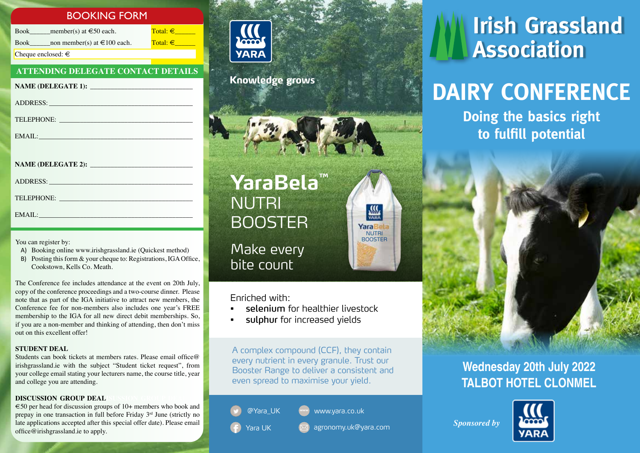## BOOKING FORM

Book member(s) at  $\in$  50 each. Total:  $\in$ Book non member(s) at  $\text{\textsterling}100$  each. Total:  $\text{\textsterling}$ Cheque enclosed:  $\in$ 

### **ATTENDING DELEGATE CONTACT DETAILS**

| ADDRESS: Universe of the Second Contract of the Second Contract of the Second Contract of the Second Contract of the Second Contract of the Second Contract of the Second Contract of the Second Contract of the Second Contra |  |  |
|--------------------------------------------------------------------------------------------------------------------------------------------------------------------------------------------------------------------------------|--|--|
| TELEPHONE:                                                                                                                                                                                                                     |  |  |
| EMAIL: EMAIL:                                                                                                                                                                                                                  |  |  |
|                                                                                                                                                                                                                                |  |  |
|                                                                                                                                                                                                                                |  |  |
|                                                                                                                                                                                                                                |  |  |
|                                                                                                                                                                                                                                |  |  |

You can register by:

EMAIL:

- A) Booking online www.irishgrassland.ie (Quickest method)
- B) Posting this form & your cheque to: Registrations, IGA Office, Cookstown, Kells Co. Meath.

The Conference fee includes attendance at the event on 20th July, copy of the conference proceedings and a two-course dinner. Please note that as part of the IGA initiative to attract new members, the Conference fee for non-members also includes one year's FREE membership to the IGA for all new direct debit memberships. So, if you are a non-member and thinking of attending, then don't miss out on this excellent offer!

### **STUDENT DEAL**

Students can book tickets at members rates. Please email office@ irishgrassland.ie with the subject "Student ticket request", from your college email stating your lecturers name, the course title, year and college you are attending.

### **DISCUSSION GROUP DEAL**

 $\epsilon$ 50 per head for discussion groups of 10+ members who book and prepay in one transaction in full before Friday 3rd June (strictly no late applications accepted after this special offer date). Please email office@irishgrassland.ie to apply.



**Knowledge grows** 



**YaraBela™** NUTRI **BOOSTER** Make every bite count

Enriched with:

- selenium for healthier livestock
- sulphur for increased vields

A complex compound (CCF), they contain every nutrient in every granule. Trust our Booster Range to deliver a consistent and even spread to maximise your yield.

@Yara\_UK

**www** www.yara.co.uk

Yara UK agronomy.uk@yara.com

**NUTRI BOOSTER** 

**MARA** YaraBela

# **Irish Grassland Association**

# **DAIRY CONFERENCE**

**Doing the basics right to fulfill potential**



## **Wednesday 20th July 2022 TALBOT HOTEL CLONMEL**



*Sponsored by*